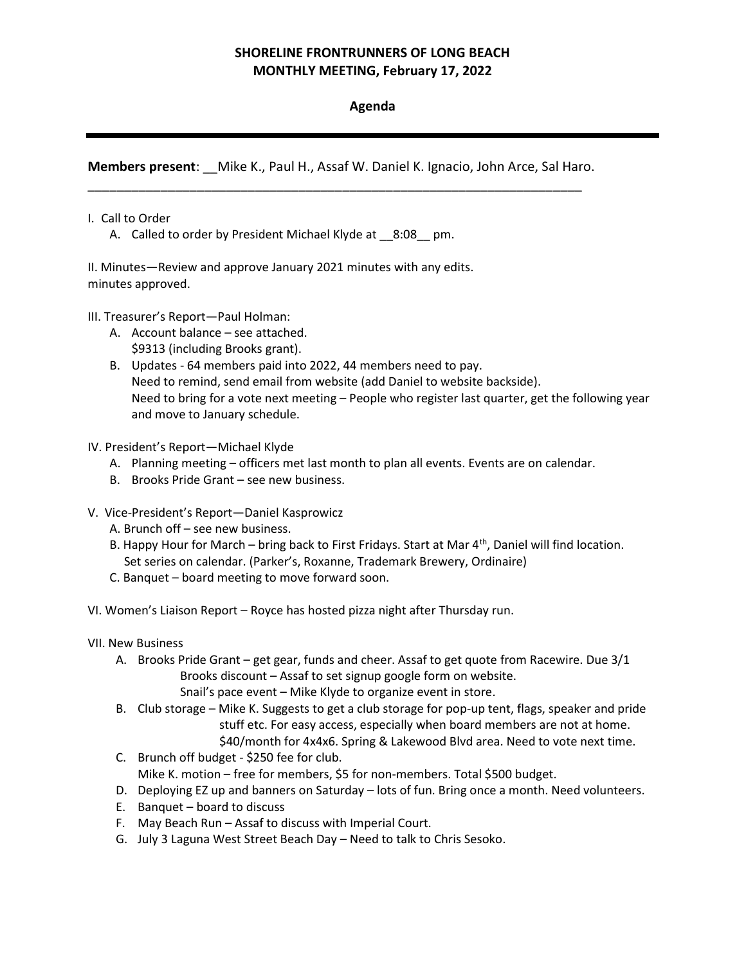# SHORELINE FRONTRUNNERS OF LONG BEACH MONTHLY MEETING, February 17, 2022

# Agenda

Members present: \_\_Mike K., Paul H., Assaf W. Daniel K. Ignacio, John Arce, Sal Haro. \_\_\_\_\_\_\_\_\_\_\_\_\_\_\_\_\_\_\_\_\_\_\_\_\_\_\_\_\_\_\_\_\_\_\_\_\_\_\_\_\_\_\_\_\_\_\_\_\_\_\_\_\_\_\_\_\_\_\_\_\_\_\_\_\_\_\_\_

## I. Call to Order

A. Called to order by President Michael Klyde at 8:08 pm.

II. Minutes—Review and approve January 2021 minutes with any edits. minutes approved.

### III. Treasurer's Report—Paul Holman:

- A. Account balance see attached. \$9313 (including Brooks grant).
- B. Updates 64 members paid into 2022, 44 members need to pay. Need to remind, send email from website (add Daniel to website backside). Need to bring for a vote next meeting – People who register last quarter, get the following year and move to January schedule.

### IV. President's Report—Michael Klyde

- A. Planning meeting officers met last month to plan all events. Events are on calendar.
- B. Brooks Pride Grant see new business.
- V. Vice-President's Report—Daniel Kasprowicz
	- A. Brunch off see new business.
	- B. Happy Hour for March bring back to First Fridays. Start at Mar  $4<sup>th</sup>$ , Daniel will find location. Set series on calendar. (Parker's, Roxanne, Trademark Brewery, Ordinaire)
	- C. Banquet board meeting to move forward soon.

VI. Women's Liaison Report – Royce has hosted pizza night after Thursday run.

- VII. New Business
	- A. Brooks Pride Grant get gear, funds and cheer. Assaf to get quote from Racewire. Due 3/1 Brooks discount – Assaf to set signup google form on website. Snail's pace event – Mike Klyde to organize event in store.
	- B. Club storage Mike K. Suggests to get a club storage for pop-up tent, flags, speaker and pride stuff etc. For easy access, especially when board members are not at home. \$40/month for 4x4x6. Spring & Lakewood Blvd area. Need to vote next time.
	- C. Brunch off budget \$250 fee for club. Mike K. motion – free for members, \$5 for non-members. Total \$500 budget.
	- D. Deploying EZ up and banners on Saturday lots of fun. Bring once a month. Need volunteers.
	- E. Banquet board to discuss
	- F. May Beach Run Assaf to discuss with Imperial Court.
	- G. July 3 Laguna West Street Beach Day Need to talk to Chris Sesoko.